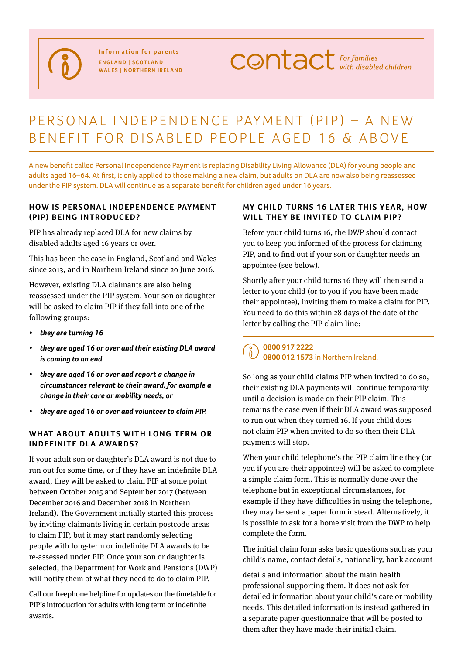**Information for parents England | Scotland Wales | Northern Ireland** **CONTACT** For families

# PERSONAL INDEPENDENCE PAYMENT (PIP) - A NEW benefit for disabled people aged 16 & above

A new benefit called Personal Independence Payment is replacing Disability Living Allowance (DLA) for young people and adults aged 16–64. At first, it only applied to those making a new claim, but adults on DLA are now also being reassessed under the PIP system. DLA will continue as a separate benefit for children aged under 16 years.

#### **HOW IS PERSONAL INDEPENDENCE PAYMENT (PIP) being introduced?**

PIP has already replaced DLA for new claims by disabled adults aged 16 years or over.

This has been the case in England, Scotland and Wales since 2013, and in Northern Ireland since 20 June 2016.

However, existing DLA claimants are also being reassessed under the PIP system. Your son or daughter will be asked to claim PIP if they fall into one of the following groups:

- *• they are turning 16*
- *• they are aged 16 or over and their existing DLA award is coming to an end*
- *• they are aged 16 or over and report a change in circumstances relevant to their award, for example a change in their care or mobility needs, or*
- *• they are aged 16 or over and volunteer to claim PIP.*

## WHAT ABOUT ADULTS WITH LONG TERM OR **indefinite DLA awards?**

If your adult son or daughter's DLA award is not due to run out for some time, or if they have an indefinite DLA award, they will be asked to claim PIP at some point between October 2015 and September 2017 (between December 2016 and December 2018 in Northern Ireland). The Government initially started this process by inviting claimants living in certain postcode areas to claim PIP, but it may start randomly selecting people with long-term or indefinite DLA awards to be re-assessed under PIP. Once your son or daughter is selected, the Department for Work and Pensions (DWP) will notify them of what they need to do to claim PIP.

Call our freephone helpline for updates on the timetable for PIP's introduction for adults with long term or indefinite awards.

#### **MY CHILD TURNS 16 LATER THIS YEAR, HOW** WILL THEY BE INVITED TO CLAIM PIP?

Before your child turns 16, the DWP should contact you to keep you informed of the process for claiming PIP, and to find out if your son or daughter needs an appointee (see below).

Shortly after your child turns 16 they will then send a letter to your child (or to you if you have been made their appointee), inviting them to make a claim for PIP. You need to do this within 28 days of the date of the letter by calling the PIP claim line:

## **0800 917 2222 0800 012 1573** in Northern Ireland.

So long as your child claims PIP when invited to do so, their existing DLA payments will continue temporarily until a decision is made on their PIP claim. This remains the case even if their DLA award was supposed to run out when they turned 16. If your child does not claim PIP when invited to do so then their DLA payments will stop.

When your child telephone's the PIP claim line they (or you if you are their appointee) will be asked to complete a simple claim form. This is normally done over the telephone but in exceptional circumstances, for example if they have difficulties in using the telephone, they may be sent a paper form instead. Alternatively, it is possible to ask for a home visit from the DWP to help complete the form.

The initial claim form asks basic questions such as your child's name, contact details, nationality, bank account

details and information about the main health professional supporting them. It does not ask for detailed information about your child's care or mobility needs. This detailed information is instead gathered in a separate paper questionnaire that will be posted to them after they have made their initial claim.